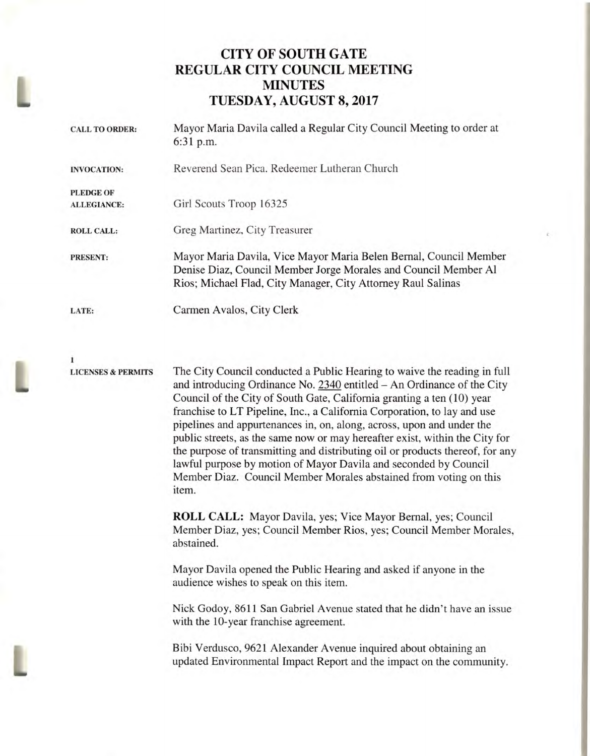## **CITY OF SOUTH GATE REGULAR CITY COUNCIL MEETING MINUTES TUESDAY, AUGUST 8, 2017**

| <b>CALL TO ORDER:</b>                  | Mayor Maria Davila called a Regular City Council Meeting to order at<br>6:31 p.m.                                                                                                                    |
|----------------------------------------|------------------------------------------------------------------------------------------------------------------------------------------------------------------------------------------------------|
| <b>INVOCATION:</b>                     | Reverend Sean Pica, Redeemer Lutheran Church                                                                                                                                                         |
| <b>PLEDGE OF</b><br><b>ALLEGIANCE:</b> | Girl Scouts Troop 16325                                                                                                                                                                              |
| <b>ROLL CALL:</b>                      | Greg Martinez, City Treasurer                                                                                                                                                                        |
| <b>PRESENT:</b>                        | Mayor Maria Davila, Vice Mayor Maria Belen Bernal, Council Member<br>Denise Diaz, Council Member Jorge Morales and Council Member Al<br>Rios; Michael Flad, City Manager, City Attorney Raul Salinas |
| LATE:                                  | Carmen Avalos, City Clerk                                                                                                                                                                            |

**1** 

L

**LICENSES & PERMITS** The City Council conducted a Public Hearing to waive the reading in full and introducing Ordinance No. 2340 entitled — An Ordinance of the City Council of the City of South Gate, California granting a ten (10) year franchise to LT Pipeline, Inc., a California Corporation, to lay and use pipelines and appurtenances in, on, along, across, upon and under the public streets, as the same now or may hereafter exist, within the City for the purpose of transmitting and distributing oil or products thereof, for any lawful purpose by motion of Mayor Davila and seconded by Council Member Diaz. Council Member Morales abstained from voting on this item.

> **ROLL CALL:** Mayor Davila, yes; Vice Mayor Bernal, yes; Council Member Diaz, yes; Council Member Rios, yes; Council Member Morales, abstained.

Mayor Davila opened the Public Hearing and asked if anyone in the audience wishes to speak on this item.

Nick Godoy, 8611 San Gabriel Avenue stated that he didn't have an issue with the 10-year franchise agreement.

Bibi Verdusco, 9621 Alexander Avenue inquired about obtaining an updated Environmental Impact Report and the impact on the community. L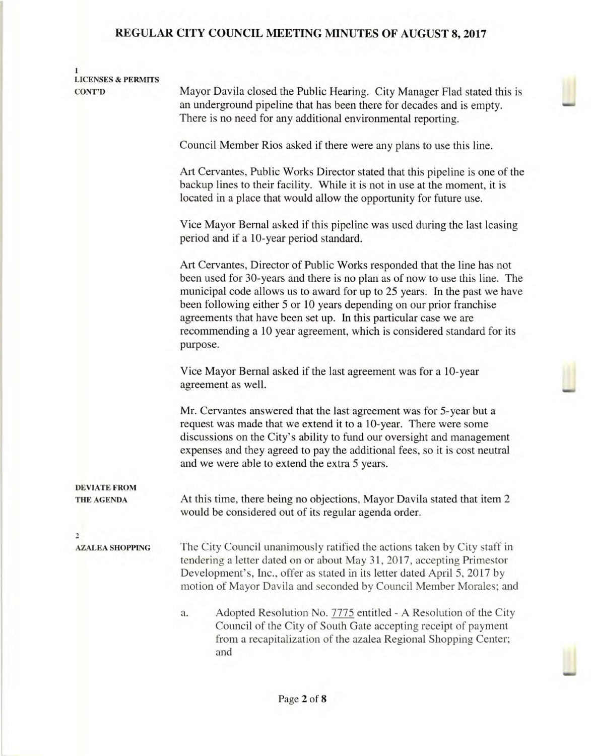| <b>LICENSES &amp; PERMITS</b> |                                                                                                                                                                                                                                                                                                                                                                                                                                                                       |  |  |
|-------------------------------|-----------------------------------------------------------------------------------------------------------------------------------------------------------------------------------------------------------------------------------------------------------------------------------------------------------------------------------------------------------------------------------------------------------------------------------------------------------------------|--|--|
| <b>CONT'D</b>                 | Mayor Davila closed the Public Hearing. City Manager Flad stated this is<br>an underground pipeline that has been there for decades and is empty.<br>There is no need for any additional environmental reporting.                                                                                                                                                                                                                                                     |  |  |
|                               | Council Member Rios asked if there were any plans to use this line.                                                                                                                                                                                                                                                                                                                                                                                                   |  |  |
|                               |                                                                                                                                                                                                                                                                                                                                                                                                                                                                       |  |  |
|                               | Art Cervantes, Public Works Director stated that this pipeline is one of the<br>backup lines to their facility. While it is not in use at the moment, it is<br>located in a place that would allow the opportunity for future use.                                                                                                                                                                                                                                    |  |  |
|                               | Vice Mayor Bernal asked if this pipeline was used during the last leasing<br>period and if a 10-year period standard.                                                                                                                                                                                                                                                                                                                                                 |  |  |
|                               | Art Cervantes, Director of Public Works responded that the line has not<br>been used for 30-years and there is no plan as of now to use this line. The<br>municipal code allows us to award for up to 25 years. In the past we have<br>been following either 5 or 10 years depending on our prior franchise<br>agreements that have been set up. In this particular case we are<br>recommending a 10 year agreement, which is considered standard for its<br>purpose. |  |  |
|                               | Vice Mayor Bernal asked if the last agreement was for a 10-year<br>agreement as well.                                                                                                                                                                                                                                                                                                                                                                                 |  |  |
|                               | Mr. Cervantes answered that the last agreement was for 5-year but a<br>request was made that we extend it to a 10-year. There were some<br>discussions on the City's ability to fund our oversight and management<br>expenses and they agreed to pay the additional fees, so it is cost neutral<br>and we were able to extend the extra 5 years.                                                                                                                      |  |  |
| <b>DEVIATE FROM</b>           |                                                                                                                                                                                                                                                                                                                                                                                                                                                                       |  |  |
| <b>THE AGENDA</b>             | At this time, there being no objections, Mayor Davila stated that item 2<br>would be considered out of its regular agenda order.                                                                                                                                                                                                                                                                                                                                      |  |  |
| $\overline{2}$                |                                                                                                                                                                                                                                                                                                                                                                                                                                                                       |  |  |
| <b>AZALEA SHOPPING</b>        | The City Council unanimously ratified the actions taken by City staff in<br>tendering a letter dated on or about May 31, 2017, accepting Primestor<br>Development's, Inc., offer as stated in its letter dated April 5, 2017 by<br>motion of Mayor Davila and seconded by Council Member Morales; and                                                                                                                                                                 |  |  |
|                               | Adopted Resolution No. 7775 entitled - A Resolution of the City<br>a.<br>Council of the City of South Gate accepting receipt of payment<br>from a recapitalization of the azalea Regional Shopping Center;<br>and                                                                                                                                                                                                                                                     |  |  |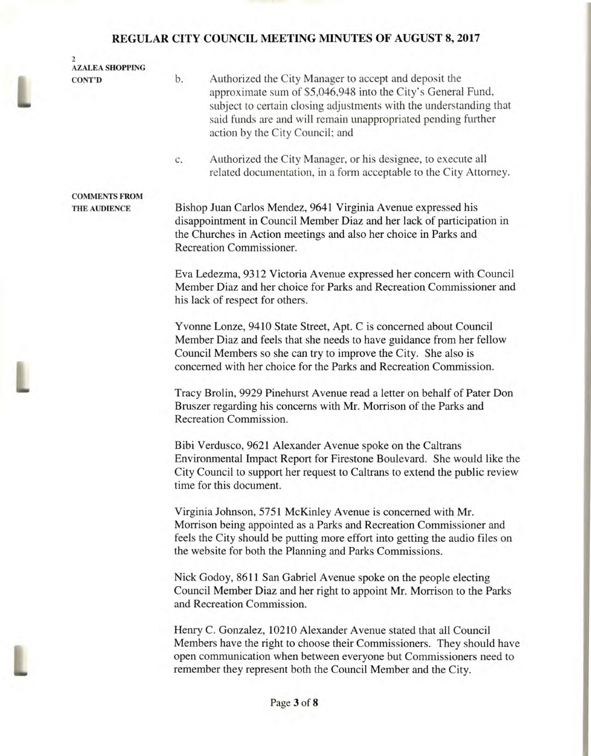L

L

| $\overline{2}$<br><b>AZALEA SHOPPING</b> |                                                                                                                                                                                                                                                                                                       |  |  |
|------------------------------------------|-------------------------------------------------------------------------------------------------------------------------------------------------------------------------------------------------------------------------------------------------------------------------------------------------------|--|--|
| <b>CONT'D</b>                            | Authorized the City Manager to accept and deposit the<br>b.<br>approximate sum of \$5,046,948 into the City's General Fund,<br>subject to certain closing adjustments with the understanding that<br>said funds are and will remain unappropriated pending further<br>action by the City Council; and |  |  |
|                                          | Authorized the City Manager, or his designee, to execute all<br>c.<br>related documentation, in a form acceptable to the City Attorney.                                                                                                                                                               |  |  |
| <b>COMMENTS FROM</b>                     |                                                                                                                                                                                                                                                                                                       |  |  |
| THE AUDIENCE                             | Bishop Juan Carlos Mendez, 9641 Virginia Avenue expressed his<br>disappointment in Council Member Diaz and her lack of participation in<br>the Churches in Action meetings and also her choice in Parks and<br>Recreation Commissioner.                                                               |  |  |
|                                          | Eva Ledezma, 9312 Victoria Avenue expressed her concern with Council<br>Member Diaz and her choice for Parks and Recreation Commissioner and<br>his lack of respect for others.                                                                                                                       |  |  |
|                                          | Yvonne Lonze, 9410 State Street, Apt. C is concerned about Council<br>Member Diaz and feels that she needs to have guidance from her fellow<br>Council Members so she can try to improve the City. She also is<br>concerned with her choice for the Parks and Recreation Commission.                  |  |  |
|                                          | Tracy Brolin, 9929 Pinehurst Avenue read a letter on behalf of Pater Don<br>Bruszer regarding his concerns with Mr. Morrison of the Parks and<br>Recreation Commission.                                                                                                                               |  |  |
|                                          | Bibi Verdusco, 9621 Alexander Avenue spoke on the Caltrans<br>Environmental Impact Report for Firestone Boulevard. She would like the<br>City Council to support her request to Caltrans to extend the public review<br>time for this document.                                                       |  |  |
|                                          | Virginia Johnson, 5751 McKinley Avenue is concerned with Mr.<br>Morrison being appointed as a Parks and Recreation Commissioner and<br>feels the City should be putting more effort into getting the audio files on<br>the website for both the Planning and Parks Commissions.                       |  |  |
|                                          | Nick Godoy, 8611 San Gabriel Avenue spoke on the people electing<br>Council Member Diaz and her right to appoint Mr. Morrison to the Parks<br>and Recreation Commission.                                                                                                                              |  |  |
|                                          | Henry C. Gonzalez, 10210 Alexander Avenue stated that all Council<br>Members have the right to choose their Commissioners. They should have<br>open communication when between everyone but Commissioners need to<br>remember they represent both the Council Member and the City.                    |  |  |
|                                          | Page 3 of 8                                                                                                                                                                                                                                                                                           |  |  |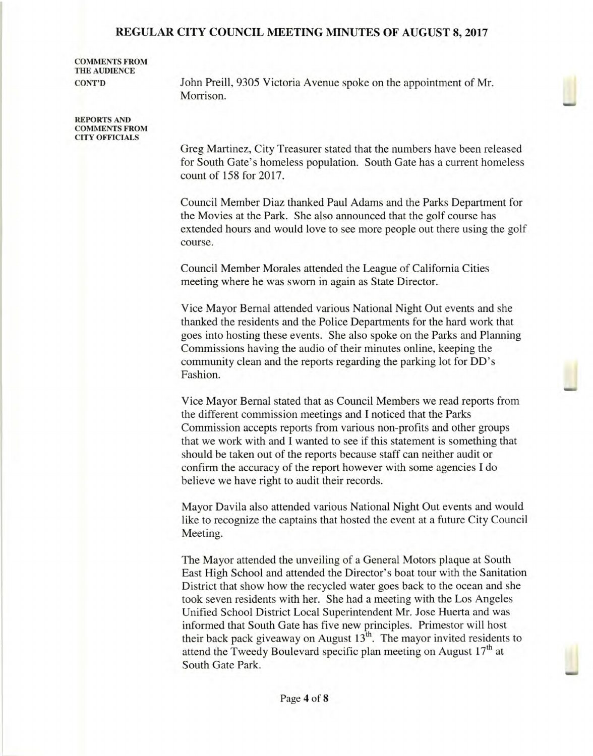**COMMENTS FROM THE AUDIENCE** 

**CONT'D** John Preill, 9305 Victoria Avenue spoke on the appointment of Mr. Morrison.

**REPORTS AND COMMENTS FROM CITY OFFICIALS** 

> Greg Martinez, City Treasurer stated that the numbers have been released for South Gate's homeless population. South Gate has a current homeless count of 158 for 2017.

> Council Member Diaz thanked Paul Adams and the Parks Department for the Movies at the Park. She also announced that the golf course has extended hours and would love to see more people out there using the golf course.

Council Member Morales attended the League of California Cities meeting where he was sworn in again as State Director.

Vice Mayor Bernal attended various National Night Out events and she thanked the residents and the Police Departments for the hard work that goes into hosting these events. She also spoke on the Parks and Planning Commissions having the audio of their minutes online, keeping the community clean and the reports regarding the parking lot for DD's Fashion.

Vice Mayor Bernal stated that as Council Members we read reports from the different commission meetings and I noticed that the Parks Commission accepts reports from various non-profits and other groups that we work with and I wanted to see if this statement is something that should be taken out of the reports because staff can neither audit or confirm the accuracy of the report however with some agencies I do believe we have right to audit their records.

Mayor Davila also attended various National Night Out events and would like to recognize the captains that hosted the event at a future City Council Meeting.

The Mayor attended the unveiling of a General Motors plaque at South East High School and attended the Director's boat tour with the Sanitation District that show how the recycled water goes back to the ocean and she took seven residents with her. She had a meeting with the Los Angeles Unified School District Local Superintendent Mr. Jose Huerta and was informed that South Gate has five new principles. Primestor will host their back pack giveaway on August  $13<sup>th</sup>$ . The mayor invited residents to attend the Tweedy Boulevard specific plan meeting on August 17<sup>th</sup> at South Gate Park.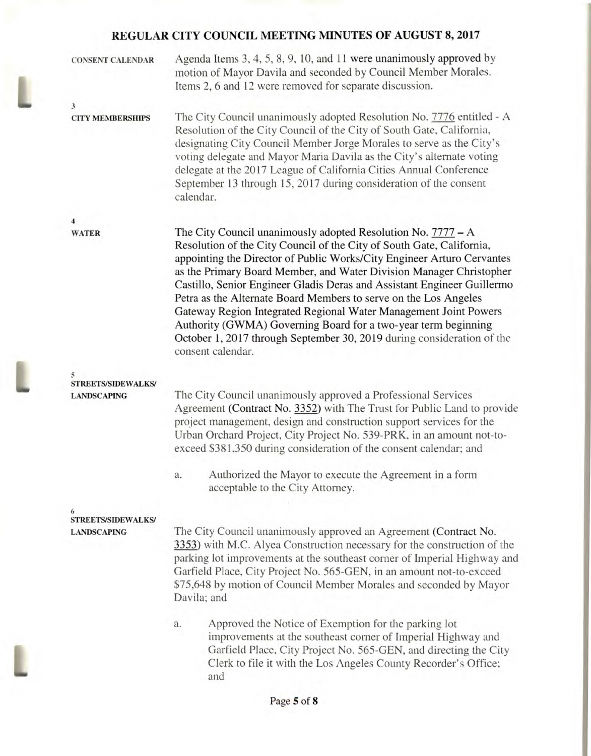| <b>CONSENT CALENDAR</b>                         | Agenda Items 3, 4, 5, 8, 9, 10, and 11 were unanimously approved by<br>motion of Mayor Davila and seconded by Council Member Morales.<br>Items 2, 6 and 12 were removed for separate discussion.                                                                                                                                                                                                                                                                                                                                                                                                                                                                             |  |  |  |
|-------------------------------------------------|------------------------------------------------------------------------------------------------------------------------------------------------------------------------------------------------------------------------------------------------------------------------------------------------------------------------------------------------------------------------------------------------------------------------------------------------------------------------------------------------------------------------------------------------------------------------------------------------------------------------------------------------------------------------------|--|--|--|
| $\mathfrak{z}$<br><b>CITY MEMBERSHIPS</b>       | The City Council unanimously adopted Resolution No. 7776 entitled - A                                                                                                                                                                                                                                                                                                                                                                                                                                                                                                                                                                                                        |  |  |  |
|                                                 | Resolution of the City Council of the City of South Gate, California,<br>designating City Council Member Jorge Morales to serve as the City's<br>voting delegate and Mayor Maria Davila as the City's alternate voting<br>delegate at the 2017 League of California Cities Annual Conference<br>September 13 through 15, 2017 during consideration of the consent<br>calendar.                                                                                                                                                                                                                                                                                               |  |  |  |
| 4                                               |                                                                                                                                                                                                                                                                                                                                                                                                                                                                                                                                                                                                                                                                              |  |  |  |
| <b>WATER</b>                                    | The City Council unanimously adopted Resolution No. $7777 - A$<br>Resolution of the City Council of the City of South Gate, California,<br>appointing the Director of Public Works/City Engineer Arturo Cervantes<br>as the Primary Board Member, and Water Division Manager Christopher<br>Castillo, Senior Engineer Gladis Deras and Assistant Engineer Guillermo<br>Petra as the Alternate Board Members to serve on the Los Angeles<br>Gateway Region Integrated Regional Water Management Joint Powers<br>Authority (GWMA) Governing Board for a two-year term beginning<br>October 1, 2017 through September 30, 2019 during consideration of the<br>consent calendar. |  |  |  |
| 5                                               |                                                                                                                                                                                                                                                                                                                                                                                                                                                                                                                                                                                                                                                                              |  |  |  |
| <b>STREETS/SIDEWALKS/</b><br><b>LANDSCAPING</b> | The City Council unanimously approved a Professional Services<br>Agreement (Contract No. 3352) with The Trust for Public Land to provide<br>project management, design and construction support services for the<br>Urban Orchard Project, City Project No. 539-PRK, in an amount not-to-<br>exceed \$381,350 during consideration of the consent calendar; and                                                                                                                                                                                                                                                                                                              |  |  |  |
|                                                 | Authorized the Mayor to execute the Agreement in a form<br>a.<br>acceptable to the City Attorney.                                                                                                                                                                                                                                                                                                                                                                                                                                                                                                                                                                            |  |  |  |
| 6<br>STREETS/SIDEWALKS/                         |                                                                                                                                                                                                                                                                                                                                                                                                                                                                                                                                                                                                                                                                              |  |  |  |
| <b>LANDSCAPING</b>                              | The City Council unanimously approved an Agreement (Contract No.<br>3353) with M.C. Alyea Construction necessary for the construction of the<br>parking lot improvements at the southeast corner of Imperial Highway and<br>Garfield Place, City Project No. 565-GEN, in an amount not-to-exceed<br>\$75,648 by motion of Council Member Morales and seconded by Mayor<br>Davila; and                                                                                                                                                                                                                                                                                        |  |  |  |
|                                                 | Approved the Notice of Exemption for the parking lot<br>a.<br>improvements at the southeast corner of Imperial Highway and<br>Garfield Place, City Project No. 565-GEN, and directing the City<br>Clerk to file it with the Los Angeles County Recorder's Office;<br>and                                                                                                                                                                                                                                                                                                                                                                                                     |  |  |  |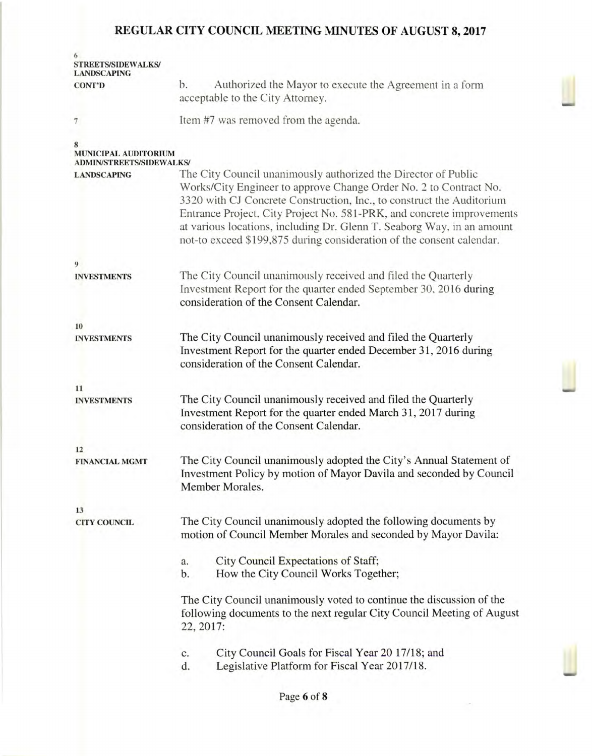| <b>STREETS/SIDEWALKS/</b><br><b>LANDSCAPING</b>                |                                                                                                                                                                                                                                                                                                                                                                                                                                          |  |  |
|----------------------------------------------------------------|------------------------------------------------------------------------------------------------------------------------------------------------------------------------------------------------------------------------------------------------------------------------------------------------------------------------------------------------------------------------------------------------------------------------------------------|--|--|
| <b>CONT'D</b>                                                  | Authorized the Mayor to execute the Agreement in a form<br>b.                                                                                                                                                                                                                                                                                                                                                                            |  |  |
|                                                                | acceptable to the City Attorney.                                                                                                                                                                                                                                                                                                                                                                                                         |  |  |
| $\overline{7}$                                                 | Item #7 was removed from the agenda.                                                                                                                                                                                                                                                                                                                                                                                                     |  |  |
| <b>MUNICIPAL AUDITORIUM</b><br><b>ADMIN/STREETS/SIDEWALKS/</b> |                                                                                                                                                                                                                                                                                                                                                                                                                                          |  |  |
| <b>LANDSCAPING</b>                                             | The City Council unanimously authorized the Director of Public<br>Works/City Engineer to approve Change Order No. 2 to Contract No.<br>3320 with CJ Concrete Construction, Inc., to construct the Auditorium<br>Entrance Project, City Project No. 581-PRK, and concrete improvements<br>at various locations, including Dr. Glenn T. Seaborg Way, in an amount<br>not-to exceed \$199,875 during consideration of the consent calendar. |  |  |
| 9                                                              |                                                                                                                                                                                                                                                                                                                                                                                                                                          |  |  |
| <b>INVESTMENTS</b>                                             | The City Council unanimously received and filed the Quarterly<br>Investment Report for the quarter ended September 30, 2016 during<br>consideration of the Consent Calendar.                                                                                                                                                                                                                                                             |  |  |
| 10                                                             |                                                                                                                                                                                                                                                                                                                                                                                                                                          |  |  |
| <b>INVESTMENTS</b>                                             | The City Council unanimously received and filed the Quarterly<br>Investment Report for the quarter ended December 31, 2016 during<br>consideration of the Consent Calendar.                                                                                                                                                                                                                                                              |  |  |
| 11                                                             |                                                                                                                                                                                                                                                                                                                                                                                                                                          |  |  |
| <b>INVESTMENTS</b>                                             | The City Council unanimously received and filed the Quarterly<br>Investment Report for the quarter ended March 31, 2017 during<br>consideration of the Consent Calendar.                                                                                                                                                                                                                                                                 |  |  |
| 12                                                             |                                                                                                                                                                                                                                                                                                                                                                                                                                          |  |  |
| <b>FINANCIAL MGMT</b>                                          | The City Council unanimously adopted the City's Annual Statement of<br>Investment Policy by motion of Mayor Davila and seconded by Council<br>Member Morales.                                                                                                                                                                                                                                                                            |  |  |
| 13                                                             |                                                                                                                                                                                                                                                                                                                                                                                                                                          |  |  |
| <b>CITY COUNCIL</b>                                            | The City Council unanimously adopted the following documents by<br>motion of Council Member Morales and seconded by Mayor Davila:                                                                                                                                                                                                                                                                                                        |  |  |
|                                                                | City Council Expectations of Staff;<br>a.<br>How the City Council Works Together;<br>b.                                                                                                                                                                                                                                                                                                                                                  |  |  |
|                                                                | The City Council unanimously voted to continue the discussion of the<br>following documents to the next regular City Council Meeting of August<br>22, 2017:                                                                                                                                                                                                                                                                              |  |  |
|                                                                | City Council Goals for Fiscal Year 20 17/18; and<br>c.<br>Legislative Platform for Fiscal Year 2017/18.<br>d.                                                                                                                                                                                                                                                                                                                            |  |  |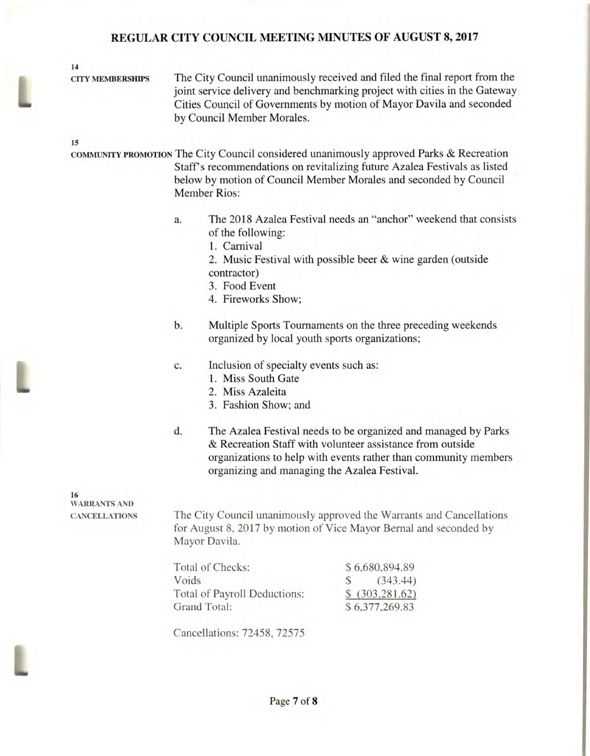**14** 

L

**CITY MEMBERSHIPS The City Council unanimously received and filed the final report from the joint service delivery and benchmarking project with cities in the Gateway Cities Council of Governments by motion of Mayor Davila and seconded by Council Member Morales.** 

**15** 

**COMMUNITY PROMOTION The City Council considered unanimously approved Parks & Recreation Staff's recommendations on revitalizing future Azalea Festivals as listed below by motion of Council Member Morales and seconded by Council Member Rios:** 

- **a. The 2018 Azalea Festival needs an "anchor"** weekend that consists **of the following:** 
	- **1. Carnival**
	- **2. Music Festival with possible beer & wine garden (outside contractor)**
	- **3. Food Event**
	- **4. Fireworks Show;**
- **b. Multiple Sports Tournaments on the three** preceding weekends **organized by local youth sports organizations;**

#### **c. Inclusion of specialty events such as:**

- **1. Miss South Gate**
- **2. Miss Azaleita**
- **3. Fashion Show; and**
- **d. The Azalea Festival needs to be organized and managed by Parks & Recreation Staff with volunteer assistance from outside organizations to help with events rather than community members organizing and managing the Azalea Festival.**

**16 WARRANTS AND** 

**CANCELLATIONS The City Council unanimously approved the Warrants and Cancellations for August 8, 2017 by motion of Vice Mayor Bernal and seconded by Mayor Davila.** 

| Total of Checks:             | \$6,680,894.89   |                |
|------------------------------|------------------|----------------|
| Voids                        |                  | (343.44)       |
| Total of Payroll Deductions: | \$ (303, 281.62) |                |
| Grand Total:                 |                  | \$6,377,269.83 |

**Cancellations: 72458, 72575**